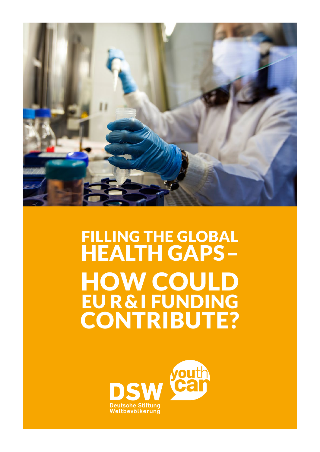

# FILLING THE GLOBAL HEALTH GAPS – HOW COULD EU R&I FUNDING CONTRIBUTE?

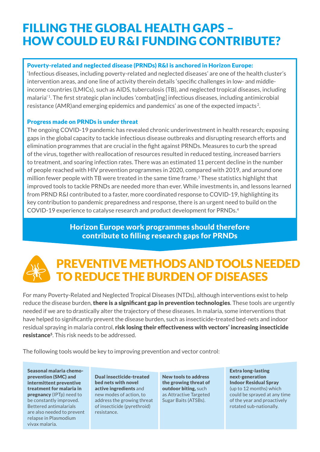### FILLING THE GLOBAL HEALTH GAPS – HOW COULD EU R&I FUNDING CONTRIBUTE?

### Poverty-related and neglected disease (PRNDs) R&I is anchored in Horizon Europe:

'Infectious diseases, including poverty-related and neglected diseases' are one of the health cluster's intervention areas, and one line of activity therein details 'specific challenges in low- and middleincome countries (LMICs), such as AIDS, tuberculosis (TB), and neglected tropical diseases, including malaria' <sup>1</sup>. The first strategic plan includes 'combat[ing] infectious diseases, including antimicrobial resistance (AMR) and emerging epidemics and pandemics' as one of the expected impacts<sup>2</sup>.

#### Progress made on PRNDs is under threat

The ongoing COVID-19 pandemic has revealed chronic underinvestment in health research; exposing gaps in the global capacity to tackle infectious disease outbreaks and disrupting research efforts and elimination programmes that are crucial in the fight against PRNDs. Measures to curb the spread of the virus, together with reallocation of resources resulted in reduced testing, increased barriers to treatment, and soaring infection rates. There was an estimated 11 percent decline in the number of people reached with HIV prevention programmes in 2020, compared with 2019, and around one million fewer people with TB were treated in the same time frame.3 These statistics highlight that improved tools to tackle PRNDs are needed more than ever. While investments in, and lessons learned from PRND R&I contributed to a faster, more coordinated response to COVID-19, highlighting its key contribution to pandemic preparedness and response, there is an urgent need to build on the COVID-19 experience to catalyse research and product development for PRNDs.<sup>4</sup>

> Horizon Europe work programmes should therefore contribute to filling research gaps for PRNDs

### PREVENTIVE METHODS AND TOOLS NEEDED TO REDUCE THE BURDEN OF DISEASES

For many Poverty-Related and Neglected Tropical Diseases (NTDs), although interventions exist to help reduce the disease burden, there is a significant gap in prevention technologies. These tools are urgently needed if we are to drastically alter the trajectory of these diseases. In malaria, some interventions that have helped to significantly prevent the disease burden, such as insecticide-treated bed-nets and indoor residual spraying in malaria control, risk losing their effectiveness with vectors' increasing insecticide resistance5. This risk needs to be addressed.

The following tools would be key to improving prevention and vector control:

Seasonal malaria chemoprevention (SMC) and intermittent preventive treatment for malaria in pregnancy (IPT<sub>p</sub>) need to be constantly improved. Bettered antimalarials are also needed to prevent relapse in Plasmodium vivax malaria.

Dual insecticide-treated bed nets with novel active ingredients and new modes of action, to address the growing threat of insecticide (pyrethroid) resistance.

New tools to address the growing threat of outdoor biting, such as Attractive Targeted Sugar Baits (ATSBs).

Extra long-lasting next-generation Indoor Residual Spray (up to 12 months) which could be sprayed at any time of the year and proactively rotated sub-nationally.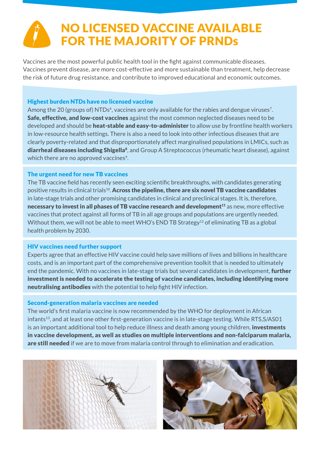# NO LICENSED VACCINE AVAILABLE FOR THE MAJORITY OF PRNDs

Vaccines are the most powerful public health tool in the fight against communicable diseases. Vaccines prevent disease, are more cost-effective and more sustainable than treatment, help decrease the risk of future drug resistance, and contribute to improved educational and economic outcomes.

#### Highest burden NTDs have no licensed vaccine

Among the 20 (groups of) NTDs<sup>6</sup>, vaccines are only available for the rabies and dengue viruses<sup>7</sup>. Safe, effective, and low-cost vaccines against the most common neglected diseases need to be developed and should be heat-stable and easy-to-administer to allow use by frontline health workers in low-resource health settings. There is also a need to look into other infectious diseases that are clearly poverty-related and that disproportionately affect marginalised populations in LMICs, such as diarrheal diseases including Shigella<sup>8</sup>, and Group A Streptococcus (rheumatic heart disease), against which there are no approved vaccines<sup>9</sup>.

### The urgent need for new TB vaccines

The TB vaccine field has recently seen exciting scientific breakthroughs, with candidates generating positive results in clinical trials<sup>10</sup>. Across the pipeline, there are six novel TB vaccine candidates in late-stage trials and other promising candidates in clinical and preclinical stages. It is, therefore, necessary to invest in all phases of TB vaccine research and development<sup>11</sup> as new, more effective vaccines that protect against all forms of TB in all age groups and populations are urgently needed. Without them, we will not be able to meet WHO's END TB Strategy<sup>12</sup> of eliminating TB as a global health problem by 2030.

#### HIV vaccines need further support

Experts agree that an effective HIV vaccine could help save millions of lives and billions in healthcare costs, and is an important part of the comprehensive prevention toolkit that is needed to ultimately end the pandemic. With no vaccines in late-stage trials but several candidates in development, **further** investment is needed to accelerate the testing of vaccine candidates, including identifying more neutralising antibodies with the potential to help fight HIV infection.

#### Second-generation malaria vaccines are needed

The world's first malaria vaccine is now recommended by the WHO for deployment in African infants<sup>13</sup>, and at least one other first-generation vaccine is in late-stage testing. While RTS, S/AS01 is an important additional tool to help reduce illness and death among young children, investments in vaccine development, as well as studies on multiple interventions and non-falciparum malaria, are still needed if we are to move from malaria control through to elimination and eradication.



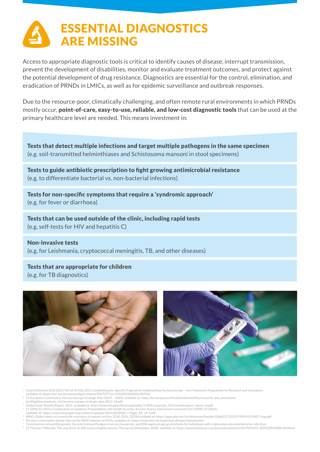### ESSENTIAL DIAGNOSTICS ARE MISSING

Access to appropriate diagnostic tools is critical to identify causes of disease, interrupt transmission, prevent the development of disabilities, monitor and evaluate treatment outcomes, and protect against the potential development of drug resistance. Diagnostics are essential for the control, elimination, and eradication of PRNDs in LMICs, as well as for epidemic surveillance and outbreak responses.

Due to the resource-poor, climatically challenging, and often remote rural environments in which PRNDs mostly occur, point-of-care, easy-to-use, reliable, and low-cost diagnostic tools that can be used at the primary healthcare level are needed. This means investment in:

Tests that detect multiple infections and target multiple pathogens in the same specimen (e.g. soil-transmitted helminthiases and Schistosoma mansoni in stool specimens)

Tests to guide antibiotic prescription to fight growing antimicrobial resistance (e.g. to differentiate bacterial vs. non-bacterial infections)

Tests for non-specific symptoms that require a 'syndromic approach' (e.g. for fever or diarrhoea)

Tests that can be used outside of the clinic, including rapid tests (e.g. self-tests for HIV and hepatitis C)

Non-invasive tests (e.g. for Leishmania, cryptococcal meningitis, TB, and other diseases)

### Tests that are appropriate for children

(e.g. for TB diagnostics)





- <sup>1</sup>Council Decision (EU) 2021/764 of 10 May 2021 establishing the Specific Programme implementing Horizon Europe the Framework Programme for Research and Innovation,
- available at: https://eur-lex.europa.eu/legal-content/EN/TXT/?uri=CELEX%3A32021D0764 <sup>2</sup>Cf. European Commission: Horizon Europe Strategic Plan (2021 – 2024), available at: https://ec.europa.eu/info/sites/default/files/research\_and\_innovation/
- 
- funding/documents/ec\_rtd\_horizon-europe-strategic-plan-2021-24.pdf<br><sup>3</sup> Global Fund: Results Report, 2021, available at: https://www.theglobalfund.org/media/11304/corporate\_2021resultsreport\_report\_en.pdf
- <sup>4</sup>Cf. DSW: EU-Africa Cooperation on Epidemic Preparedness and Health Security: Success Stories and Lessons Learned from COVID-19 (2021), available at: https://www.dsw.org/en/wp-content/uploads/2021/06/DSW\_2-Pager\_EP\_v4-3.pdf
- 
- <sup>5</sup>WHO. Global report on insecticide resistance in malaria vectors 2010-2016, (2018) available at: https://apps.who.int/iris/bitstream/handle/10665/272533/9789241514057-eng.pdf
- <sup>6</sup>For more information please refer to the WHO website on NTDs, available at: https://www.who.int/neglected\_diseases/diseases/en/
	- <sup>7</sup> Controversies around Dengvaxia, the only licensed Dengue virus vaccine persist, and FDA approval was granted only for individuals with a laboratory-documented prior infection.<br><sup>8</sup> Cf. Thomas F Wierzba: The search for a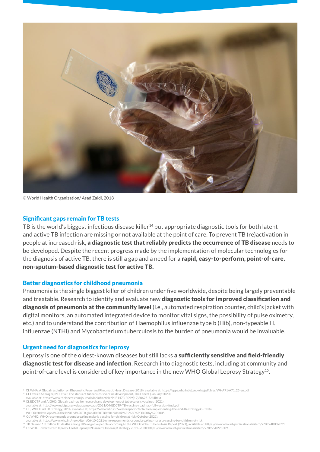

© World Health Organization/ Asad Zaidi, 2018

#### Significant gaps remain for TB tests

TB is the world's biggest infectious disease killer<sup>14</sup> but appropriate diagnostic tools for both latent and active TB infection are missing or not available at the point of care. To prevent TB (re)activation in people at increased risk, a diagnostic test that reliably predicts the occurrence of TB disease needs to be developed. Despite the recent progress made by the implementation of molecular technologies for the diagnosis of active TB, there is still a gap and a need for a rapid, easy-to-perform, point-of-care, non-sputum-based diagnostic test for active TB.

#### Better diagnostics for childhood pneumonia

Pneumonia is the single biggest killer of children under five worldwide, despite being largely preventable and treatable. Research to identify and evaluate new **diagnostic tools for improved classification and** diagnosis of pneumonia at the community level (i.e., automated respiration counter, child's jacket with digital monitors, an automated integrated device to monitor vital signs, the possibility of pulse oximetry, etc.) and to understand the contribution of Haemophilus influenzae type b (Hib), non-typeable H. influenzae (NTHi) and Mycobacterium tuberculosis to the burden of pneumonia would be invaluable.

#### Urgent need for diagnostics for leprosy

Leprosy is one of the oldest-known diseases but still lacks a sufficiently sensitive and field-friendly diagnostic test for disease and infection. Research into diagnostic tests, including at community and point-of-care level is considered of key importance in the new WHO Global Leprosy Strategy<sup>15</sup>.

<sup>9</sup> Cf. WHA, A Global resolution on Rheumatic Fever and Rheumatic Heart Disease (2018), available at: https://apps.who.int/gb/ebwha/pdf\_files/WHA71/A71\_25-en.pdf

<sup>10</sup> Cf. Lewis K Schrager, MD, et al.: The status of tuberculosis vaccine development, The Lancet (January 2020),

available at: https://www.thelancet.com/journals/laninf/article/PIIS1473-3099(19)30625-5/fulltext

<sup>11</sup>Cf. EDCTP and AIGHD, Global roadmap for research and development of tuberculosis vaccines (2021), available at: http://www.edctp.org/web/app/uploads/2021/04/EDCTP-TB-vaccine-roadmap-full-version-final.pdf

<sup>12</sup> CF., WHO End TB Strategy, 2014, available at; https://www.who.int/westernpacific/activities/implementing-the-end-tb-strategy#:~:text=

WHO%20developed%20the%20End%20TB,global%20TB%20epidemic%E2%80%9D%20by%202035.

<sup>13</sup> Cf. WHO: WHO recommends groundbreaking malaria vaccine for children at risk (October 2021),

available at: https://www.who.int/news/item/06-10-2021-who-recommends-groundbreaking-malaria-vaccine-for-children-at-risk

<sup>14</sup> TB claimed 1.3 million TB deaths among HIV-negative people according to the WHO Global Tuberculosis Report (2021), available at: https://www.who.int/publications/i/item/9789240037021<br><sup>15</sup> Cf. WHO Towards zero leprosy. G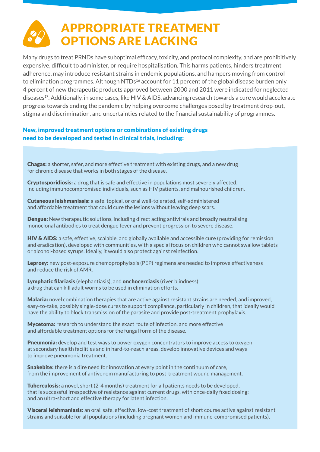# APPROPRIATE TREATMENT OPTIONS ARE LACKING

Many drugs to treat PRNDs have suboptimal efficacy, toxicity, and protocol complexity, and are prohibitively expensive, difficult to administer, or require hospitalisation. This harms patients, hinders treatment adherence, may introduce resistant strains in endemic populations, and hampers moving from control to elimination programmes. Although NTDs<sup>16</sup> account for 11 percent of the global disease burden only 4 percent of new therapeutic products approved between 2000 and 2011 were indicated for neglected diseases17. Additionally, in some cases, like HIV & AIDS, advancing research towards a cure would accelerate progress towards ending the pandemic by helping overcome challenges posed by treatment drop-out, stigma and discrimination, and uncertainties related to the financial sustainability of programmes.

#### New, improved treatment options or combinations of existing drugs need to be developed and tested in clinical trials, including:

Chagas: a shorter, safer, and more effective treatment with existing drugs, and a new drug for chronic disease that works in both stages of the disease.

Cryptosporidiosis: a drug that is safe and effective in populations most severely affected, including immunocompromised individuals, such as HIV patients, and malnourished children.

Cutaneous leishmaniasis: a safe, topical, or oral well-tolerated, self-administered and affordable treatment that could cure the lesions without leaving deep scars.

**Dengue:** New therapeutic solutions, including direct acting antivirals and broadly neutralising monoclonal antibodies to treat dengue fever and prevent progression to severe disease.

HIV & AIDS: a safe, effective, scalable, and globally available and accessible cure (providing for remission and eradication), developed with communities, with a special focus on children who cannot swallow tablets or alcohol-based syrups. Ideally, it would also protect against reinfection.

Leprosy: new post-exposure chemoprophylaxis (PEP) regimens are needed to improve effectiveness and reduce the risk of AMR.

Lymphatic filariasis (elephantiasis), and onchocerciasis (river blindness): a drug that can kill adult worms to be used in elimination efforts.

Malaria: novel combination therapies that are active against resistant strains are needed, and improved, easy-to-take, possibly single-dose cures to support compliance, particularly in children, that ideally would have the ability to block transmission of the parasite and provide post-treatment prophylaxis.

Mycetoma: research to understand the exact route of infection, and more effective and affordable treatment options for the fungal form of the disease.

**Pneumonia:** develop and test ways to power oxygen concentrators to improve access to oxygen at secondary health facilities and in hard-to-reach areas, develop innovative devices and ways to improve pneumonia treatment.

**Snakebite:** there is a dire need for innovation at every point in the continuum of care, from the improvement of antivenom manufacturing to post-treatment wound management.

**Tuberculosis:** a novel, short (2-4 months) treatment for all patients needs to be developed, that is successful irrespective of resistance against current drugs, with once-daily fixed dosing; and an ultra-short and effective therapy for latent infection.

Visceral leishmaniasis: an oral, safe, effective, low-cost treatment of short course active against resistant strains and suitable for all populations (including pregnant women and immune-compromised patients).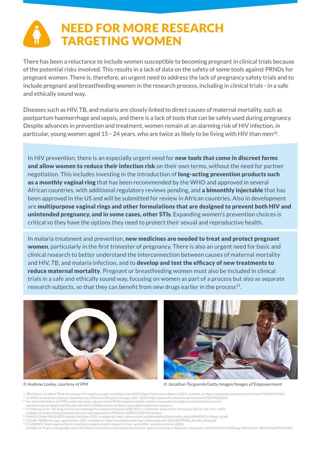# NEED FOR MORE RESEARCH TARGETING WOMEN

There has been a reluctance to include women susceptible to becoming pregnant in clinical trials because of the potential risks involved. This results in a lack of data on the safety of some tools against PRNDs for pregnant women. There is, therefore, an urgent need to address the lack of pregnancy safety trials and to include pregnant and breastfeeding women in the research process, including in clinical trials - in a safe and ethically sound way.

Diseases such as HIV, TB, and malaria are closely linked to direct causes of maternal mortality, such as postpartum haemorrhage and sepsis, and there is a lack of tools that can be safely used during pregnancy. Despite advances in prevention and treatment, women remain at an alarming risk of HIV infection, in particular, young women aged  $15 - 24$  years, who are twice as likely to be living with HIV than men<sup>18</sup>.

In HIV prevention, there is an especially urgent need for **new tools that come in discreet forms** and allow women to reduce their infection risk on their own terms, without the need for partner negotiation. This includes investing in the introduction of **long-acting prevention products such** as a monthly vaginal ring that has been recommended by the WHO and approved in several African countries, with additional regulatory reviews pending, and a bimonthly injectable that has been approved in the US and will be submitted for review in African countries. Also in development are multipurpose vaginal rings and other formulations that are designed to prevent both HIV and unintended pregnancy, and in some cases, other STIs. Expanding women's prevention choices is critical so they have the options they need to protect their sexual and reproductive health.

In malaria treatment and prevention, new medicines are needed to treat and protect pregnant women, particularly in the first trimester of pregnancy. There is also an urgent need for basic and clinical research to better understand the interconnection between causes of maternal mortality and HIV, TB, and malaria infection, and to **develop and test the efficacy of new treatments to** reduce maternal mortality. Pregnant or breastfeeding women must also be included in clinical trials in a safe and ethically sound way, focusing on women as part of a process but also as separate research subjects, so that they can benefit from new drugs earlier in the process<sup>19</sup>.





© Andrew Loxley, courtesy of IPM © Jonathan Torgovnik/Getty Images/Images of Empowerment

14 TB claimed 1.3 million TB deaths among HIV-negative people according to the WHO Global Tuberculosis Report (2021), available at: https://www.who.int/publications/i/item/9789240037021<br><sup>15</sup> Cf. WHO Towards zero leprosy. G

<sup>16</sup> For more information on NTDs and product gaps, please see the WHO website available at https://www.who.int/neglected\_diseases/diseases/en/<br>and the Drugs for Neglected Diseases Initiative's (DNDi) website at https://ww

<sup>17</sup> Cf. Pedrique et al.: The drug and vaccine landscape for neglected diseases 2000-2011: a systematic assessment, The Lancet (2013); 1(6) e371–e379,

20 Cf. ESSENCE, Seven approaches to investing in implementation research in low- and middle- income countries (2020),<br>available at: https://www.google.com/url?q=https://www.who.int/tdr/publications/seven-approaches/en/&sa=

<sup>&</sup>lt;sup>18</sup> UNAIDS Global HIV & AIDS statistics factsheet 2021, available at: https://www.unaids.org/sites/default/files/media\_asset/UNAIDS\_FactSheet\_en.pdf <sup>19</sup> Cf.DSW: PRNDs through a gender lens, 2021, available at: https://www.dsw.org/en/wp-content/uploads/2021/05/PRNDs\_Gender\_Study.pdf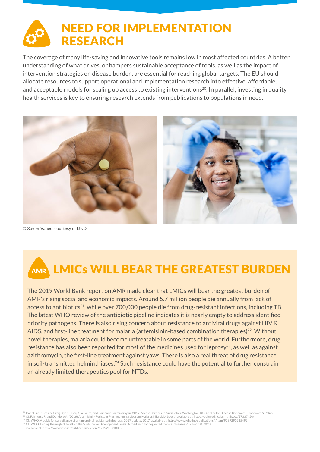### NEED FOR IMPLEMENTATION RESEARCH

The coverage of many life-saving and innovative tools remains low in most affected countries. A better understanding of what drives, or hampers sustainable acceptance of tools, as well as the impact of intervention strategies on disease burden, are essential for reaching global targets. The EU should allocate resources to support operational and implementation research into effective, affordable, and acceptable models for scaling up access to existing interventions<sup>20</sup>. In parallel, investing in quality health services is key to ensuring research extends from publications to populations in need.



© Xavier Vahed, courtesy of DNDi

# AMR LMICS WILL BEAR THE GREATEST BURDEN

The 2019 World Bank report on AMR made clear that LMICs will bear the greatest burden of AMR's rising social and economic impacts. Around 5.7 million people die annually from lack of access to antibiotics<sup>21</sup>, while over 700,000 people die from drug-resistant infections, including TB. The latest WHO review of the antibiotic pipeline indicates it is nearly empty to address identified priority pathogens. There is also rising concern about resistance to antiviral drugs against HIV & AIDS, and first-line treatment for malaria (artemisinin-based combination therapies)<sup>22</sup>. Without novel therapies, malaria could become untreatable in some parts of the world. Furthermore, drug resistance has also been reported for most of the medicines used for leprosy<sup>23</sup>, as well as against azithromycin, the first-line treatment against yaws. There is also a real threat of drug resistance in soil-transmitted helminthiases.<sup>24</sup> Such resistance could have the potential to further constrain an already limited therapeutics pool for NTDs.

<sup>22</sup> Cf. Fairhurst R. and Dondorp A. (2016) Artemisinin-Resistant Plasmodium falciparum Malaria. Microbiol Spectr. available at: https://pubmed.ncbi.nlm.nih.gov/27337450/ <sup>23</sup> Cf., WHO, A guide for surveillance of antimicrobial resistance in leprosy: 2017 update, 2017, available at: https://www.who.int/publications/i/item/9789290225492

<sup>24</sup> Cf., WHO, Ending the neglect to attain the Sustainable Development Goals: A road map for neglected tropical diseases 2021–2030, 2020, available at: https://www.who.int/publications/i/item/9789240010352

<sup>21</sup> Isabel Frost, Jessica Craig, Jyoti Joshi, Kim Faure, and Ramanan Laxminarayan. 2019. Access Barriers to Antibiotics. Washington, DC: Center for Disease Dynamics, Economics & Policy.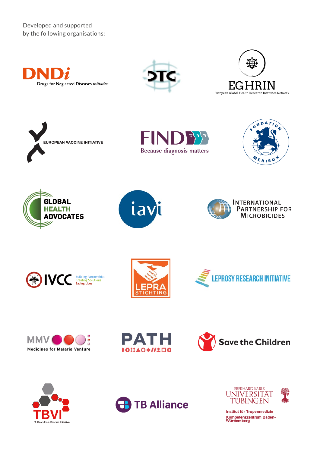Developed and supported by the following organisations:



















**INTERNATIONAL PARTNERSHIP FOR MICROBICIDES** 



















Institut für Tropenmedizin Kompetenzzentrum Baden-<br>Württemberg